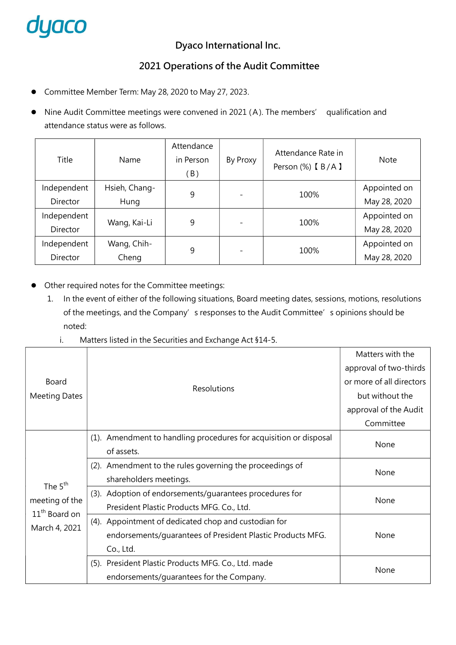

- Committee Member Term: May 28, 2020 to May 27, 2023.
- Nine Audit Committee meetings were convened in 2021 (A). The members' qualification and attendance status were as follows.

| Title       | <b>Name</b>   | Attendance<br>in Person<br>(B) | By Proxy | Attendance Rate in<br>Person (%) $[B/A]$ | <b>Note</b>  |
|-------------|---------------|--------------------------------|----------|------------------------------------------|--------------|
| Independent | Hsieh, Chang- | 9                              |          | 100%                                     | Appointed on |
| Director    | Hung          |                                |          |                                          | May 28, 2020 |
| Independent |               | 9                              |          |                                          | Appointed on |
| Director    | Wang, Kai-Li  |                                |          | 100%                                     | May 28, 2020 |
| Independent | Wang, Chih-   |                                |          | 100%                                     | Appointed on |
| Director    | Cheng         | 9                              |          |                                          | May 28, 2020 |

- $\bullet$  Other required notes for the Committee meetings:
	- 1. In the event of either of the following situations, Board meeting dates, sessions, motions, resolutions of the meetings, and the Company's responses to the Audit Committee's opinions should be noted:
		- i. Matters listed in the Securities and Exchange Act §14-5.

|                                                                           |                                                                   | Matters with the         |  |
|---------------------------------------------------------------------------|-------------------------------------------------------------------|--------------------------|--|
|                                                                           |                                                                   | approval of two-thirds   |  |
| <b>Board</b>                                                              | Resolutions                                                       | or more of all directors |  |
| <b>Meeting Dates</b>                                                      |                                                                   | but without the          |  |
|                                                                           |                                                                   | approval of the Audit    |  |
|                                                                           |                                                                   | Committee                |  |
|                                                                           | (1). Amendment to handling procedures for acquisition or disposal |                          |  |
| The 5 <sup>th</sup><br>meeting of the<br>$11th$ Board on<br>March 4, 2021 | of assets.                                                        | None                     |  |
|                                                                           | (2). Amendment to the rules governing the proceedings of          | None                     |  |
|                                                                           | shareholders meetings.                                            |                          |  |
|                                                                           | (3). Adoption of endorsements/guarantees procedures for           | None                     |  |
|                                                                           | President Plastic Products MFG. Co., Ltd.                         |                          |  |
|                                                                           | (4). Appointment of dedicated chop and custodian for              |                          |  |
|                                                                           | endorsements/guarantees of President Plastic Products MFG.        | None                     |  |
|                                                                           | Co., Ltd.                                                         |                          |  |
|                                                                           | (5). President Plastic Products MFG. Co., Ltd. made               |                          |  |
|                                                                           | endorsements/guarantees for the Company.                          | None                     |  |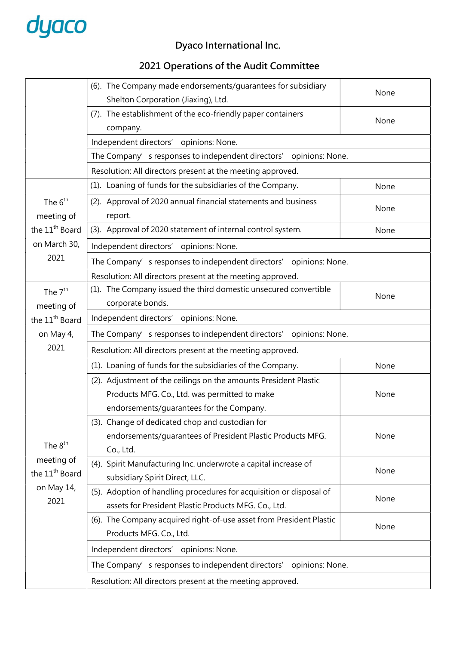# Dyaco International Inc.

|                                                                                       | (6). The Company made endorsements/guarantees for subsidiary<br>Shelton Corporation (Jiaxing), Ltd.                                                           | None |  |  |  |  |
|---------------------------------------------------------------------------------------|---------------------------------------------------------------------------------------------------------------------------------------------------------------|------|--|--|--|--|
|                                                                                       | (7). The establishment of the eco-friendly paper containers<br>company.                                                                                       | None |  |  |  |  |
|                                                                                       | opinions: None.<br>Independent directors'                                                                                                                     |      |  |  |  |  |
|                                                                                       | The Company's responses to independent directors' opinions: None.                                                                                             |      |  |  |  |  |
|                                                                                       | Resolution: All directors present at the meeting approved.                                                                                                    |      |  |  |  |  |
|                                                                                       | (1). Loaning of funds for the subsidiaries of the Company.                                                                                                    | None |  |  |  |  |
| The $6th$<br>meeting of                                                               | (2). Approval of 2020 annual financial statements and business<br>report.                                                                                     | None |  |  |  |  |
| the 11 <sup>th</sup> Board                                                            | (3). Approval of 2020 statement of internal control system.                                                                                                   | None |  |  |  |  |
| on March 30,                                                                          | Independent directors' opinions: None.                                                                                                                        |      |  |  |  |  |
| 2021                                                                                  | The Company's responses to independent directors' opinions: None.                                                                                             |      |  |  |  |  |
|                                                                                       | Resolution: All directors present at the meeting approved.                                                                                                    |      |  |  |  |  |
| The $7th$<br>meeting of                                                               | (1). The Company issued the third domestic unsecured convertible<br>corporate bonds.                                                                          | None |  |  |  |  |
| the 11 <sup>th</sup> Board                                                            | Independent directors'<br>opinions: None.                                                                                                                     |      |  |  |  |  |
| on May 4,                                                                             | The Company's responses to independent directors' opinions: None.                                                                                             |      |  |  |  |  |
| 2021                                                                                  | Resolution: All directors present at the meeting approved.                                                                                                    |      |  |  |  |  |
|                                                                                       | (1). Loaning of funds for the subsidiaries of the Company.                                                                                                    | None |  |  |  |  |
| The 8 <sup>th</sup><br>meeting of<br>the 11 <sup>th</sup> Board<br>on May 14,<br>2021 | (2). Adjustment of the ceilings on the amounts President Plastic<br>Products MFG. Co., Ltd. was permitted to make<br>endorsements/guarantees for the Company. | None |  |  |  |  |
|                                                                                       | (3). Change of dedicated chop and custodian for<br>endorsements/guarantees of President Plastic Products MFG.<br>Co., Ltd.                                    | None |  |  |  |  |
|                                                                                       | (4). Spirit Manufacturing Inc. underwrote a capital increase of<br>subsidiary Spirit Direct, LLC.                                                             | None |  |  |  |  |
|                                                                                       | (5). Adoption of handling procedures for acquisition or disposal of<br>assets for President Plastic Products MFG. Co., Ltd.                                   | None |  |  |  |  |
|                                                                                       | (6). The Company acquired right-of-use asset from President Plastic<br>Products MFG. Co., Ltd.                                                                | None |  |  |  |  |
|                                                                                       | Independent directors'<br>opinions: None.                                                                                                                     |      |  |  |  |  |
|                                                                                       | The Company's responses to independent directors' opinions: None.                                                                                             |      |  |  |  |  |
|                                                                                       | Resolution: All directors present at the meeting approved.                                                                                                    |      |  |  |  |  |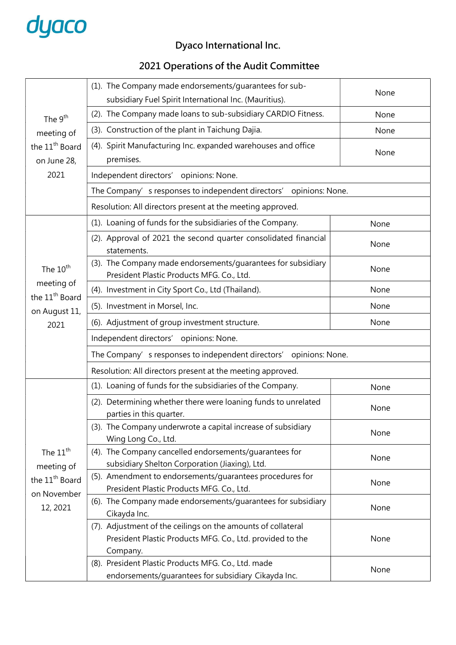

|                                                                                   | (1). The Company made endorsements/guarantees for sub-                                                                                | None |  |  |  |
|-----------------------------------------------------------------------------------|---------------------------------------------------------------------------------------------------------------------------------------|------|--|--|--|
| The $9th$<br>meeting of                                                           | subsidiary Fuel Spirit International Inc. (Mauritius).                                                                                |      |  |  |  |
|                                                                                   | (2). The Company made loans to sub-subsidiary CARDIO Fitness.                                                                         | None |  |  |  |
|                                                                                   | (3). Construction of the plant in Taichung Dajia.                                                                                     | None |  |  |  |
| the 11 <sup>th</sup> Board<br>on June 28,                                         | (4). Spirit Manufacturing Inc. expanded warehouses and office<br>premises.                                                            | None |  |  |  |
| 2021                                                                              | Independent directors'<br>opinions: None.                                                                                             |      |  |  |  |
|                                                                                   | The Company's responses to independent directors' opinions: None.                                                                     |      |  |  |  |
|                                                                                   | Resolution: All directors present at the meeting approved.                                                                            |      |  |  |  |
|                                                                                   | (1). Loaning of funds for the subsidiaries of the Company.                                                                            | None |  |  |  |
|                                                                                   | (2). Approval of 2021 the second quarter consolidated financial<br>statements.                                                        | None |  |  |  |
| The 10 <sup>th</sup>                                                              | (3). The Company made endorsements/quarantees for subsidiary<br>President Plastic Products MFG. Co., Ltd.                             | None |  |  |  |
| meeting of<br>the 11 <sup>th</sup> Board                                          | (4). Investment in City Sport Co., Ltd (Thailand).                                                                                    | None |  |  |  |
| on August 11,                                                                     | (5). Investment in Morsel, Inc.                                                                                                       | None |  |  |  |
| 2021                                                                              | (6). Adjustment of group investment structure.                                                                                        | None |  |  |  |
|                                                                                   | Independent directors' opinions: None.                                                                                                |      |  |  |  |
|                                                                                   | The Company's responses to independent directors' opinions: None.                                                                     |      |  |  |  |
|                                                                                   | Resolution: All directors present at the meeting approved.                                                                            |      |  |  |  |
|                                                                                   | (1). Loaning of funds for the subsidiaries of the Company.                                                                            | None |  |  |  |
|                                                                                   | (2). Determining whether there were loaning funds to unrelated<br>parties in this quarter.                                            | None |  |  |  |
|                                                                                   | (3). The Company underwrote a capital increase of subsidiary<br>Wing Long Co., Ltd.                                                   | None |  |  |  |
| The $11th$<br>meeting of<br>the 11 <sup>th</sup> Board<br>on November<br>12, 2021 | (4). The Company cancelled endorsements/quarantees for<br>subsidiary Shelton Corporation (Jiaxing), Ltd.                              | None |  |  |  |
|                                                                                   | (5). Amendment to endorsements/guarantees procedures for<br>President Plastic Products MFG. Co., Ltd.                                 | None |  |  |  |
|                                                                                   | (6). The Company made endorsements/guarantees for subsidiary<br>Cikayda Inc.                                                          | None |  |  |  |
|                                                                                   | (7). Adjustment of the ceilings on the amounts of collateral<br>President Plastic Products MFG. Co., Ltd. provided to the<br>Company. | None |  |  |  |
|                                                                                   | (8). President Plastic Products MFG. Co., Ltd. made<br>endorsements/guarantees for subsidiary Cikayda Inc.                            | None |  |  |  |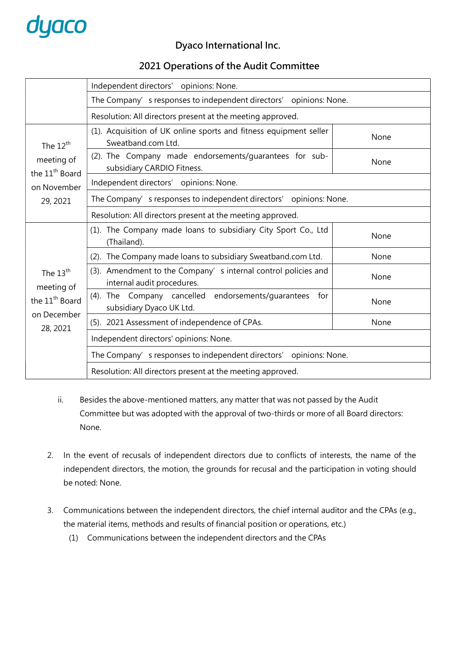### Dyaco International Inc.

|                                                                                   | Independent directors' opinions: None.                                                      |      |  |  |  |
|-----------------------------------------------------------------------------------|---------------------------------------------------------------------------------------------|------|--|--|--|
|                                                                                   | The Company's responses to independent directors' opinions: None.                           |      |  |  |  |
|                                                                                   | Resolution: All directors present at the meeting approved.                                  |      |  |  |  |
| The $12th$                                                                        | (1). Acquisition of UK online sports and fitness equipment seller<br>Sweatband.com Ltd.     | None |  |  |  |
| meeting of<br>the 11 <sup>th</sup> Board                                          | (2). The Company made endorsements/guarantees for sub-<br>subsidiary CARDIO Fitness.        | None |  |  |  |
| on November                                                                       | Independent directors' opinions: None.                                                      |      |  |  |  |
| 29, 2021                                                                          | The Company's responses to independent directors' opinions: None.                           |      |  |  |  |
|                                                                                   | Resolution: All directors present at the meeting approved.                                  |      |  |  |  |
| The $13th$<br>meeting of<br>the 11 <sup>th</sup> Board<br>on December<br>28, 2021 | (1). The Company made loans to subsidiary City Sport Co., Ltd<br>(Thailand).                | None |  |  |  |
|                                                                                   | (2). The Company made loans to subsidiary Sweatband.com Ltd.                                | None |  |  |  |
|                                                                                   | (3). Amendment to the Company's internal control policies and<br>internal audit procedures. | None |  |  |  |
|                                                                                   | (4). The Company cancelled endorsements/quarantees for<br>subsidiary Dyaco UK Ltd.          | None |  |  |  |
|                                                                                   | (5). 2021 Assessment of independence of CPAs.                                               | None |  |  |  |
|                                                                                   | Independent directors' opinions: None.                                                      |      |  |  |  |
|                                                                                   | The Company's responses to independent directors' opinions: None.                           |      |  |  |  |
|                                                                                   | Resolution: All directors present at the meeting approved.                                  |      |  |  |  |

- ii. Besides the above-mentioned matters, any matter that was not passed by the Audit Committee but was adopted with the approval of two-thirds or more of all Board directors: None.
- 2. In the event of recusals of independent directors due to conflicts of interests, the name of the independent directors, the motion, the grounds for recusal and the participation in voting should be noted: None.
- 3. Communications between the independent directors, the chief internal auditor and the CPAs (e.g., the material items, methods and results of financial position or operations, etc.)
	- (1) Communications between the independent directors and the CPAs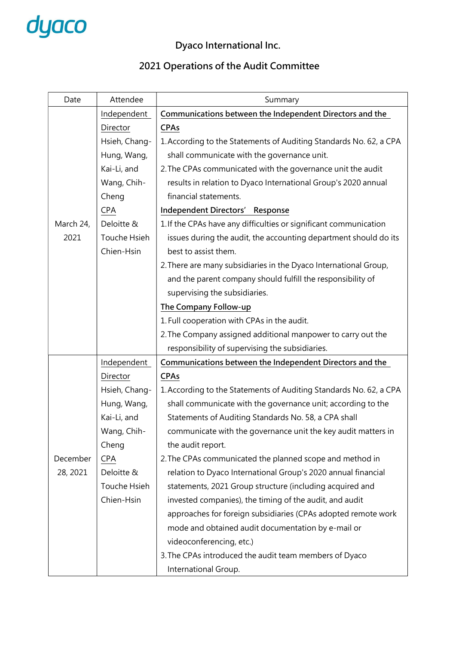# Dyaco International Inc.

| Date         | Attendee      | Summary                                                            |  |  |  |
|--------------|---------------|--------------------------------------------------------------------|--|--|--|
|              | Independent   | Communications between the Independent Directors and the           |  |  |  |
|              | Director      | <b>CPAs</b>                                                        |  |  |  |
|              | Hsieh, Chang- | 1. According to the Statements of Auditing Standards No. 62, a CPA |  |  |  |
|              | Hung, Wang,   | shall communicate with the governance unit.                        |  |  |  |
|              | Kai-Li, and   | 2. The CPAs communicated with the governance unit the audit        |  |  |  |
|              | Wang, Chih-   | results in relation to Dyaco International Group's 2020 annual     |  |  |  |
| Cheng<br>CPA |               | financial statements.                                              |  |  |  |
|              |               | Independent Directors' Response                                    |  |  |  |
| March 24,    | Deloitte &    | 1. If the CPAs have any difficulties or significant communication  |  |  |  |
| 2021         | Touche Hsieh  | issues during the audit, the accounting department should do its   |  |  |  |
|              | Chien-Hsin    | best to assist them.                                               |  |  |  |
|              |               | 2. There are many subsidiaries in the Dyaco International Group,   |  |  |  |
|              |               | and the parent company should fulfill the responsibility of        |  |  |  |
|              |               | supervising the subsidiaries.                                      |  |  |  |
|              |               | The Company Follow-up                                              |  |  |  |
|              |               | 1. Full cooperation with CPAs in the audit.                        |  |  |  |
|              |               | 2. The Company assigned additional manpower to carry out the       |  |  |  |
|              |               | responsibility of supervising the subsidiaries.                    |  |  |  |
|              | Independent   | Communications between the Independent Directors and the           |  |  |  |
|              | Director      | <b>CPAs</b>                                                        |  |  |  |
|              | Hsieh, Chang- | 1. According to the Statements of Auditing Standards No. 62, a CPA |  |  |  |
|              | Hung, Wang,   | shall communicate with the governance unit; according to the       |  |  |  |
|              | Kai-Li, and   | Statements of Auditing Standards No. 58, a CPA shall               |  |  |  |
|              | Wang, Chih-   | communicate with the governance unit the key audit matters in      |  |  |  |
|              | Cheng         | the audit report.                                                  |  |  |  |
| December     | <b>CPA</b>    | 2. The CPAs communicated the planned scope and method in           |  |  |  |
| 28, 2021     | Deloitte &    | relation to Dyaco International Group's 2020 annual financial      |  |  |  |
|              | Touche Hsieh  | statements, 2021 Group structure (including acquired and           |  |  |  |
|              | Chien-Hsin    | invested companies), the timing of the audit, and audit            |  |  |  |
|              |               | approaches for foreign subsidiaries (CPAs adopted remote work      |  |  |  |
|              |               | mode and obtained audit documentation by e-mail or                 |  |  |  |
|              |               | videoconferencing, etc.)                                           |  |  |  |
|              |               | 3. The CPAs introduced the audit team members of Dyaco             |  |  |  |
|              |               | International Group.                                               |  |  |  |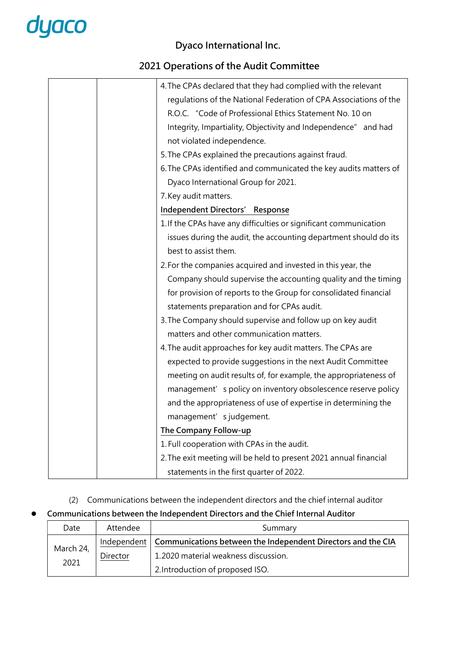## Dyaco International Inc.

## 2021 Operations of the Audit Committee

| 4. The CPAs declared that they had complied with the relevant     |
|-------------------------------------------------------------------|
| regulations of the National Federation of CPA Associations of the |
| R.O.C. "Code of Professional Ethics Statement No. 10 on           |
| Integrity, Impartiality, Objectivity and Independence" and had    |
| not violated independence.                                        |
| 5. The CPAs explained the precautions against fraud.              |
| 6. The CPAs identified and communicated the key audits matters of |
| Dyaco International Group for 2021.                               |
| 7. Key audit matters.                                             |
| Independent Directors' Response                                   |
| 1. If the CPAs have any difficulties or significant communication |
| issues during the audit, the accounting department should do its  |
| best to assist them.                                              |
| 2. For the companies acquired and invested in this year, the      |
| Company should supervise the accounting quality and the timing    |
| for provision of reports to the Group for consolidated financial  |
| statements preparation and for CPAs audit.                        |
| 3. The Company should supervise and follow up on key audit        |
| matters and other communication matters.                          |
| 4. The audit approaches for key audit matters. The CPAs are       |
| expected to provide suggestions in the next Audit Committee       |
| meeting on audit results of, for example, the appropriateness of  |
| management's policy on inventory obsolescence reserve policy      |
| and the appropriateness of use of expertise in determining the    |
| management' s judgement.                                          |
| The Company Follow-up                                             |
| 1. Full cooperation with CPAs in the audit.                       |
| 2. The exit meeting will be held to present 2021 annual financial |
| statements in the first quarter of 2022.                          |

(2) Communications between the independent directors and the chief internal auditor

#### Communications between the Independent Directors and the Chief Internal Auditor

| Date              | Attendee | Summary                                                                    |
|-------------------|----------|----------------------------------------------------------------------------|
|                   |          | Independent   Communications between the Independent Directors and the CIA |
| March 24,<br>2021 | Director | 1.2020 material weakness discussion.                                       |
|                   |          | 2. Introduction of proposed ISO.                                           |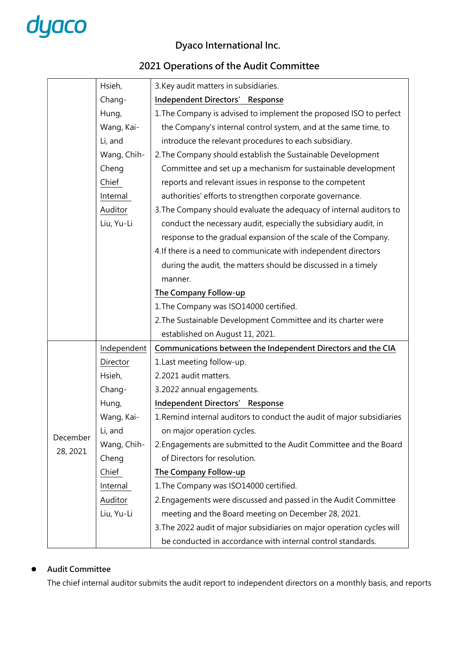## Dyaco International Inc.

## 2021 Operations of the Audit Committee

|          | Hsieh,      | 3. Key audit matters in subsidiaries.                                  |  |  |  |
|----------|-------------|------------------------------------------------------------------------|--|--|--|
|          | Chang-      | Independent Directors' Response                                        |  |  |  |
|          | Hung,       | 1. The Company is advised to implement the proposed ISO to perfect     |  |  |  |
|          | Wang, Kai-  | the Company's internal control system, and at the same time, to        |  |  |  |
|          | Li, and     | introduce the relevant procedures to each subsidiary.                  |  |  |  |
|          | Wang, Chih- | 2. The Company should establish the Sustainable Development            |  |  |  |
|          | Cheng       | Committee and set up a mechanism for sustainable development           |  |  |  |
|          | Chief       | reports and relevant issues in response to the competent               |  |  |  |
|          | Internal    | authorities' efforts to strengthen corporate governance.               |  |  |  |
|          | Auditor     | 3. The Company should evaluate the adequacy of internal auditors to    |  |  |  |
|          | Liu, Yu-Li  | conduct the necessary audit, especially the subsidiary audit, in       |  |  |  |
|          |             | response to the gradual expansion of the scale of the Company.         |  |  |  |
|          |             | 4. If there is a need to communicate with independent directors        |  |  |  |
|          |             | during the audit, the matters should be discussed in a timely          |  |  |  |
|          |             | manner.                                                                |  |  |  |
|          |             | The Company Follow-up                                                  |  |  |  |
|          |             | 1. The Company was ISO14000 certified.                                 |  |  |  |
|          |             | 2. The Sustainable Development Committee and its charter were          |  |  |  |
|          |             | established on August 11, 2021.                                        |  |  |  |
|          | Independent | Communications between the Independent Directors and the CIA           |  |  |  |
|          | Director    | 1. Last meeting follow-up.                                             |  |  |  |
|          | Hsieh,      | 2.2021 audit matters.                                                  |  |  |  |
|          | Chang-      | 3.2022 annual engagements.                                             |  |  |  |
|          | Hung,       | Independent Directors' Response                                        |  |  |  |
|          | Wang, Kai-  | 1. Remind internal auditors to conduct the audit of major subsidiaries |  |  |  |
| December | Li, and     | on major operation cycles.                                             |  |  |  |
|          | Wang, Chih- | 2. Engagements are submitted to the Audit Committee and the Board      |  |  |  |
| 28, 2021 | Cheng       | of Directors for resolution.                                           |  |  |  |
|          | Chief       | The Company Follow-up                                                  |  |  |  |
|          | Internal    | 1. The Company was ISO14000 certified.                                 |  |  |  |
|          | Auditor     | 2. Engagements were discussed and passed in the Audit Committee        |  |  |  |
|          | Liu, Yu-Li  | meeting and the Board meeting on December 28, 2021.                    |  |  |  |
|          |             | 3. The 2022 audit of major subsidiaries on major operation cycles will |  |  |  |
|          |             | be conducted in accordance with internal control standards.            |  |  |  |

#### Audit Committee

The chief internal auditor submits the audit report to independent directors on a monthly basis, and reports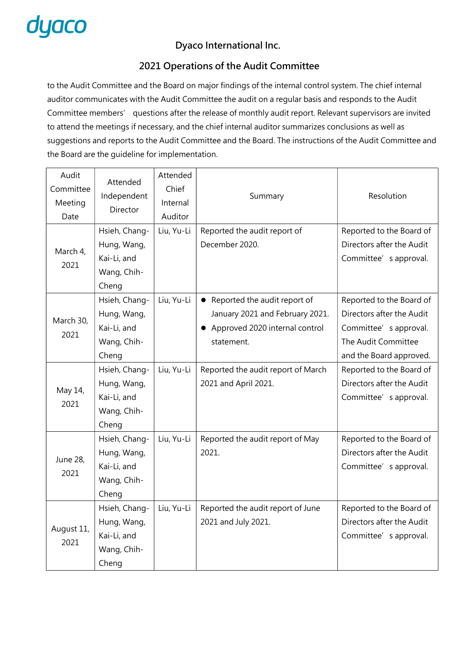### 2021 Operations of the Audit Committee

to the Audit Committee and the Board on major findings of the internal control system. The chief internal auditor communicates with the Audit Committee the audit on a regular basis and responds to the Audit Committee members' questions after the release of monthly audit report. Relevant supervisors are invited to attend the meetings if necessary, and the chief internal auditor summarizes conclusions as well as suggestions and reports to the Audit Committee and the Board. The instructions of the Audit Committee and the Board are the guideline for implementation.

| Audit<br>Committee<br>Meeting<br>Date | Attended<br>Independent<br>Director | Attended<br>Chief<br>Internal<br>Auditor | Summary                            | Resolution                |
|---------------------------------------|-------------------------------------|------------------------------------------|------------------------------------|---------------------------|
|                                       | Hsieh, Chang-                       | Liu, Yu-Li                               | Reported the audit report of       | Reported to the Board of  |
| March 4,                              | Hung, Wang,                         |                                          | December 2020.                     | Directors after the Audit |
| 2021                                  | Kai-Li, and                         |                                          |                                    | Committee' s approval.    |
|                                       | Wang, Chih-                         |                                          |                                    |                           |
|                                       | Cheng                               |                                          |                                    |                           |
|                                       | Hsieh, Chang-                       | Liu, Yu-Li                               | • Reported the audit report of     | Reported to the Board of  |
| March 30,                             | Hung, Wang,                         |                                          | January 2021 and February 2021.    | Directors after the Audit |
| 2021                                  | Kai-Li, and                         |                                          | Approved 2020 internal control     | Committee' s approval.    |
|                                       | Wang, Chih-                         |                                          | statement.                         | The Audit Committee       |
|                                       | Cheng                               |                                          |                                    | and the Board approved.   |
|                                       | Hsieh, Chang-                       | Liu, Yu-Li                               | Reported the audit report of March | Reported to the Board of  |
| May 14,                               | Hung, Wang,                         |                                          | 2021 and April 2021.               | Directors after the Audit |
| 2021                                  | Kai-Li, and                         |                                          |                                    | Committee' s approval.    |
|                                       | Wang, Chih-                         |                                          |                                    |                           |
|                                       | Cheng                               |                                          |                                    |                           |
|                                       | Hsieh, Chang-                       | Liu, Yu-Li                               | Reported the audit report of May   | Reported to the Board of  |
| June 28,                              | Hung, Wang,                         |                                          | 2021.                              | Directors after the Audit |
| 2021                                  | Kai-Li, and                         |                                          |                                    | Committee' s approval.    |
|                                       | Wang, Chih-                         |                                          |                                    |                           |
|                                       | Cheng                               |                                          |                                    |                           |
|                                       | Hsieh, Chang-                       | Liu, Yu-Li                               | Reported the audit report of June  | Reported to the Board of  |
|                                       | Hung, Wang,                         |                                          | 2021 and July 2021.                | Directors after the Audit |
| August 11,<br>2021                    | Kai-Li, and                         |                                          |                                    | Committee' s approval.    |
|                                       | Wang, Chih-                         |                                          |                                    |                           |
|                                       | Cheng                               |                                          |                                    |                           |